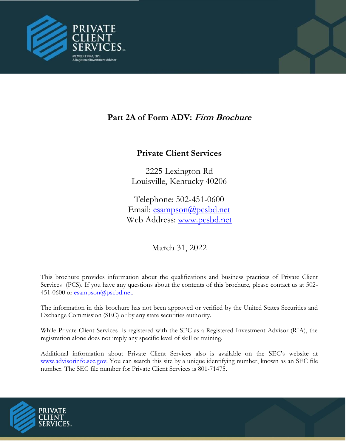

# **Part 2A of Form ADV: Firm Brochure**

# **Private Client Services**

2225 Lexington Rd Louisville, Kentucky 40206

Telephone: 502-451-0600 Email: [esampson@pcsbd.net](mailto:esampson@pcsbd.net) Web Ad[dress:](http://www.pcsbd.net/) [www.pcsbd.net](file:///C:/Users/cmccurdy/Documents/Compliance/Form%20ADV/www.pcsbd.net)

March 31, 2022

This brochure provides information about the qualifications and business practices of Private Client Services (PCS). If you have any questions about the contents of this brochure, please contact us at 502 451-0600 or [esampson@pscbd.net](mailto:esampson@pscbd.net).

The information in this brochure has not been approved or verified by the United States Securities and Exchange Commission (SEC) or by any state securities authority.

While Private Client Services is registered with the SEC as a Registered Investment Advisor (RIA), the registration alone does not imply any specific level of skill or training.

Additional information about Private Client Services also is available on the SEC's website at www.advisorinfo.sec.gov. You can search this site by a unique identifying number, known as an SEC file number. The SEC file number for Private Client Services is 801-71475.

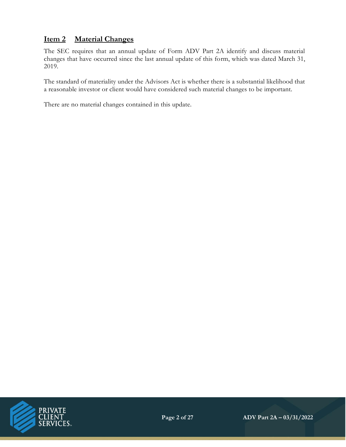## **Item 2 Material Changes**

The SEC requires that an annual update of Form ADV Part 2A identify and discuss material changes that have occurred since the last annual update of this form, which was dated March 31, 2019.

The standard of materiality under the Advisors Act is whether there is a substantial likelihood that a reasonable investor or client would have considered such material changes to be important.

There are no material changes contained in this update.

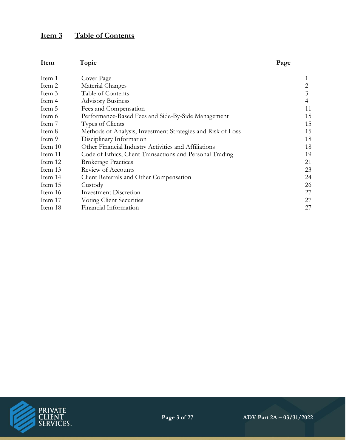# **Item 3 Table of Contents**

| Item    | Topic                                                       | Page |
|---------|-------------------------------------------------------------|------|
| Item 1  | Cover Page                                                  |      |
| Item 2  | Material Changes                                            | 2    |
| Item 3  | Table of Contents                                           | 3    |
| Item 4  | <b>Advisory Business</b>                                    | 4    |
| Item 5  | Fees and Compensation                                       | 11   |
| Item 6  | Performance-Based Fees and Side-By-Side Management          | 15   |
| Item 7  | Types of Clients                                            | 15   |
| Item 8  | Methods of Analysis, Investment Strategies and Risk of Loss | 15   |
| Item 9  | Disciplinary Information                                    | 18   |
| Item 10 | Other Financial Industry Activities and Affiliations        | 18   |
| Item 11 | Code of Ethics, Client Transactions and Personal Trading    | 19   |
| Item 12 | <b>Brokerage Practices</b>                                  | 21   |
| Item 13 | Review of Accounts                                          | 23   |
| Item 14 | Client Referrals and Other Compensation                     | 24   |
| Item 15 | Custody                                                     | 26   |
| Item 16 | <b>Investment Discretion</b>                                | 27   |
| Item 17 | Voting Client Securities                                    | 27   |
| Item 18 | Financial Information                                       | 27   |

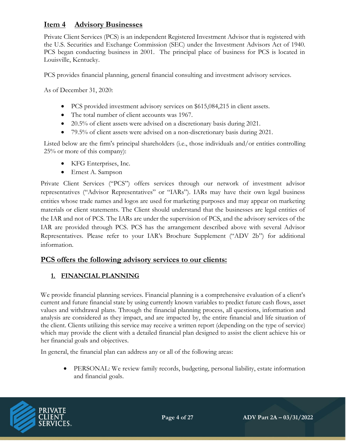## **Item 4 Advisory Businesses**

Private Client Services (PCS) is an independent Registered Investment Advisor that is registered with the U.S. Securities and Exchange Commission (SEC) under the Investment Advisors Act of 1940. PCS began conducting business in 2001. The principal place of business for PCS is located in Louisville, Kentucky.

PCS provides financial planning, general financial consulting and investment advisory services.

As of December 31, 2020:

- PCS provided investment advisory services on \$615,084,215 in client assets.
- The total number of client accounts was 1967.
- 20.5% of client assets were advised on a discretionary basis during 2021.
- 79.5% of client assets were advised on a non-discretionary basis during 2021.

Listed below are the firm's principal shareholders (i.e., those individuals and/or entities controlling 25% or more of this company):

- KFG Enterprises, Inc.
- Ernest A. Sampson

Private Client Services ("PCS") offers services through our network of investment advisor representatives ("Advisor Representatives" or "IARs"). IARs may have their own legal business entities whose trade names and logos are used for marketing purposes and may appear on marketing materials or client statements. The Client should understand that the businesses are legal entities of the IAR and not of PCS. The IARs are under the supervision of PCS, and the advisory services of the IAR are provided through PCS. PCS has the arrangement described above with several Advisor Representatives. Please refer to your IAR's Brochure Supplement ("ADV 2b") for additional information.

#### **PCS offers the following advisory services to our clients:**

#### **1. FINANCIAL PLANNING**

We provide financial planning services. Financial planning is a comprehensive evaluation of a client's current and future financial state by using currently known variables to predict future cash flows, asset values and withdrawal plans. Through the financial planning process, all questions, information and analysis are considered as they impact, and are impacted by, the entire financial and life situation of the client. Clients utilizing this service may receive a written report (depending on the type of service) which may provide the client with a detailed financial plan designed to assist the client achieve his or her financial goals and objectives.

In general, the financial plan can address any or all of the following areas:

• PERSONAL: We review family records, budgeting, personal liability, estate information and financial goals.

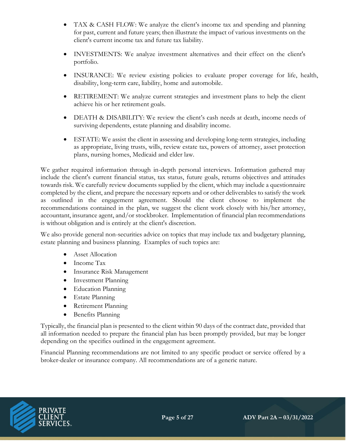- TAX & CASH FLOW: We analyze the client's income tax and spending and planning for past, current and future years; then illustrate the impact of various investments on the client's current income tax and future tax liability.
- INVESTMENTS: We analyze investment alternatives and their effect on the client's portfolio.
- INSURANCE: We review existing policies to evaluate proper coverage for life, health, disability, long-term care, liability, home and automobile.
- RETIREMENT: We analyze current strategies and investment plans to help the client achieve his or her retirement goals.
- DEATH & DISABILITY: We review the client's cash needs at death, income needs of surviving dependents, estate planning and disability income.
- ESTATE: We assist the client in assessing and developing long-term strategies, including as appropriate, living trusts, wills, review estate tax, powers of attorney, asset protection plans, nursing homes, Medicaid and elder law.

We gather required information through in-depth personal interviews. Information gathered may include the client's current financial status, tax status, future goals, returns objectives and attitudes towards risk. We carefully review documents supplied by the client, which may include a questionnaire completed by the client, and prepare the necessary reports and or other deliverables to satisfy the work as outlined in the engagement agreement. Should the client choose to implement the recommendations contained in the plan, we suggest the client work closely with his/her attorney, accountant, insurance agent, and/or stockbroker. Implementation of financial plan recommendations is without obligation and is entirely at the client's discretion.

We also provide general non-securities advice on topics that may include tax and budgetary planning, estate planning and business planning. Examples of such topics are:

- Asset Allocation
- Income Tax
- Insurance Risk Management
- Investment Planning
- Education Planning
- Estate Planning
- Retirement Planning
- Benefits Planning

Typically, the financial plan is presented to the client within 90 days of the contract date, provided that all information needed to prepare the financial plan has been promptly provided, but may be longer depending on the specifics outlined in the engagement agreement.

Financial Planning recommendations are not limited to any specific product or service offered by a broker-dealer or insurance company. All recommendations are of a generic nature.

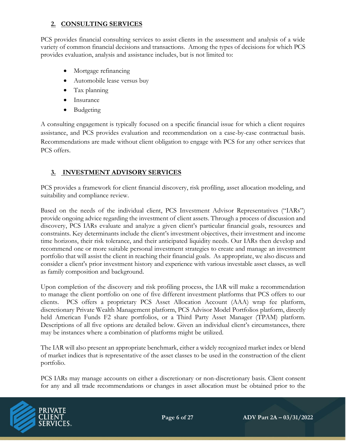## **2. CONSULTING SERVICES**

PCS provides financial consulting services to assist clients in the assessment and analysis of a wide variety of common financial decisions and transactions. Among the types of decisions for which PCS provides evaluation, analysis and assistance includes, but is not limited to:

- Mortgage refinancing
- Automobile lease versus buy
- Tax planning
- Insurance
- Budgeting

A consulting engagement is typically focused on a specific financial issue for which a client requires assistance, and PCS provides evaluation and recommendation on a case-by-case contractual basis. Recommendations are made without client obligation to engage with PCS for any other services that PCS offers.

## **3. INVESTMENT ADVISORY SERVICES**

PCS provides a framework for client financial discovery, risk profiling, asset allocation modeling, and suitability and compliance review.

Based on the needs of the individual client, PCS Investment Advisor Representatives ("IARs") provide ongoing advice regarding the investment of client assets. Through a process of discussion and discovery, PCS IARs evaluate and analyze a given client's particular financial goals, resources and constraints. Key determinants include the client's investment objectives, their investment and income time horizons, their risk tolerance, and their anticipated liquidity needs. Our IARs then develop and recommend one or more suitable personal investment strategies to create and manage an investment portfolio that will assist the client in reaching their financial goals. As appropriate, we also discuss and consider a client's prior investment history and experience with various investable asset classes, as well as family composition and background.

Upon completion of the discovery and risk profiling process, the IAR will make a recommendation to manage the client portfolio on one of five different investment platforms that PCS offers to our clients. PCS offers a proprietary PCS Asset Allocation Account (AAA) wrap fee platform, discretionary Private Wealth Management platform, PCS Advisor Model Portfolios platform, directly held American Funds F2 share portfolios, or a Third Party Asset Manager (TPAM) platform. Descriptions of all five options are detailed below. Given an individual client's circumstances, there may be instances where a combination of platforms might be utilized.

The IAR will also present an appropriate benchmark, either a widely recognized market index or blend of market indices that is representative of the asset classes to be used in the construction of the client portfolio.

PCS IARs may manage accounts on either a discretionary or non-discretionary basis. Client consent for any and all trade recommendations or changes in asset allocation must be obtained prior to the

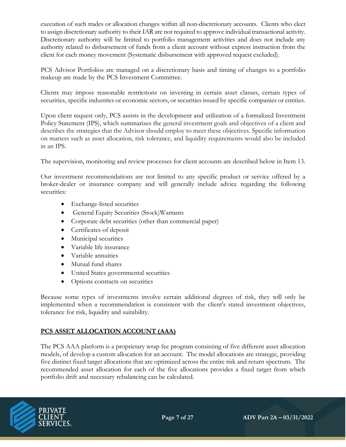execution of such trades or allocation changes within all non-discretionary accounts. Clients who elect to assign discretionary authority to their IAR are not required to approve individual transactional activity. Discretionary authority will be limited to portfolio management activities and does not include any authority related to disbursement of funds from a client account without express instruction from the client for each money movement (Systematic disbursement with approved request excluded).

PCS Advisor Portfolios are managed on a discretionary basis and timing of changes to a portfolio makeup are made by the PCS Investment Committee.

Clients may impose reasonable restrictions on investing in certain asset classes, certain types of securities, specific industries or economic sectors, or securities issued by specific companies or entities.

Upon client request only, PCS assists in the development and utilization of a formalized Investment Policy Statement (IPS), which summarizes the general investment goals and objectives of a client and describes the strategies that the Advisor should employ to meet these objectives. Specific information on matters such as asset allocation, risk tolerance, and liquidity requirements would also be included in an IPS.

The supervision, monitoring and review processes for client accounts are described below in Item 13.

Our investment recommendations are not limited to any specific product or service offered by a broker-dealer or insurance company and will generally include advice regarding the following securities:

- Exchange-listed securities
- General Equity Securities (Stock)Warrants
- Corporate debt securities (other than commercial paper)
- Certificates of deposit
- Municipal securities
- Variable life insurance
- Variable annuities
- Mutual fund shares
- United States governmental securities
- Options contracts on securities

Because some types of investments involve certain additional degrees of risk, they will only be implemented when a recommendation is consistent with the client's stated investment objectives, tolerance for risk, liquidity and suitability.

#### **PCS ASSET ALLOCATION ACCOUNT (AAA)**

The PCS AAA platform is a proprietary wrap fee program consisting of five different asset allocation models, of develop a custom allocation for an account. The model allocations are strategic, providing five distinct fixed target allocations that are optimized across the entire risk and return spectrum. The recommended asset allocation for each of the five allocations provides a fixed target from which portfolio drift and necessary rebalancing can be calculated.

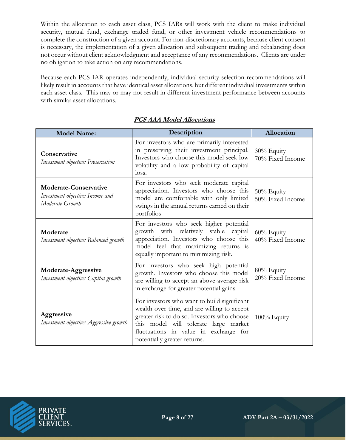Within the allocation to each asset class, PCS IARs will work with the client to make individual security, mutual fund, exchange traded fund, or other investment vehicle recommendations to complete the construction of a given account. For non-discretionary accounts, because client consent is necessary, the implementation of a given allocation and subsequent trading and rebalancing does not occur without client acknowledgment and acceptance of any recommendations. Clients are under no obligation to take action on any recommendations.

Because each PCS IAR operates independently, individual security selection recommendations will likely result in accounts that have identical asset allocations, but different individual investments within each asset class. This may or may not result in different investment performance between accounts with similar asset allocations.

| <b>Model Name:</b>                                                                  | Description                                                                                                                                                                                                                                                 | Allocation                     |  |
|-------------------------------------------------------------------------------------|-------------------------------------------------------------------------------------------------------------------------------------------------------------------------------------------------------------------------------------------------------------|--------------------------------|--|
| Conservative<br>Investment objective: Preservation                                  | For investors who are primarily interested<br>in preserving their investment principal.<br>Investors who choose this model seek low<br>volatility and a low probability of capital<br>loss.                                                                 | 30% Equity<br>70% Fixed Income |  |
| <b>Moderate-Conservative</b><br>Investment objective: Income and<br>Moderate Growth | For investors who seek moderate capital<br>appreciation. Investors who choose this<br>model are comfortable with only limited<br>swings in the annual returns earned on their<br>portfolios                                                                 | 50% Equity<br>50% Fixed Income |  |
| Moderate<br>Investment objective: Balanced growth                                   | For investors who seek higher potential<br>growth with relatively stable capital<br>appreciation. Investors who choose this<br>model feel that maximizing returns is<br>equally important to minimizing risk.                                               | 60% Equity<br>40% Fixed Income |  |
| Moderate-Aggressive<br>Investment objective: Capital growth                         | For investors who seek high potential<br>growth. Investors who choose this model<br>are willing to accept an above-average risk<br>in exchange for greater potential gains.                                                                                 | 80% Equity<br>20% Fixed Income |  |
| Aggressive<br>Investment objective: Aggressive growth                               | For investors who want to build significant<br>wealth over time, and are willing to accept<br>greater risk to do so. Investors who choose<br>this model will tolerate large market<br>fluctuations in value in exchange for<br>potentially greater returns. | 100% Equity                    |  |

### **PCS AAA Model Allocations**

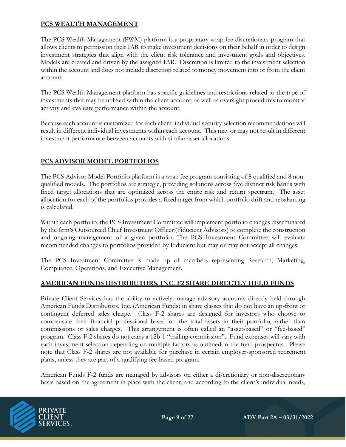#### **PCS WEALTH MANAGEMENT**

The PCS Wealth Management (PWM) platform is a proprietary wrap fee discretionary program that allows clients to permission their IAR to make investment decisions on their behalf in order to design investment strategies that align with the client risk tolerance and investment goals and objectives. Models are created and driven by the assigned IAR. Discretion is limited to the investment selection within the account and does not include discretion related to money movement into or from the client account.

The PCS Wealth Management platform has specific guidelines and restrictions related to the type of investments that may be utilized within the client account, as well as oversight procedures to monitor activity and evaluate performance within the account.

Because each account is customized for each client, individual security selection recommendations will result in different individual investments within each account. This may or may not result in different investment performance between accounts with similar asset allocations.

### **PCS ADVISOR MODEL PORTFOLIOS**

The PCS Advisor Model Portfolio platform is a wrap fee program consisting of 8 qualified and 8 nonqualified models. The portfolios are strategic, providing solutions across five distinct risk bands with fixed target allocations that are optimized across the entire risk and return spectrum. The asset allocation for each of the portfolios provides a fixed target from which portfolio drift and rebalancing is calculated.

Within each portfolio, the PCS Investment Committee will implement portfolio changes disseminated by the firm's Outsourced Chief Investment Officer (Fiducient Advisors) to complete the construction and ongoing management of a given portfolio. The PCS Investment Committee will evaluate recommended changes to portfolios provided by Fiducient but may or may not accept all changes.

The PCS Investment Committee is made up of members representing Research, Marketing, Compliance, Operations, and Executive Management.

#### **AMERICAN FUNDS DISTRIBUTORS, INC. F2 SHARE DIRECTLY HELD FUNDS**

Private Client Services has the ability to actively manage advisory accounts directly held through American Funds Distributors, Inc. (American Funds) in share classes that do not have an up-front or contingent deferred sales charge. Class F-2 shares are designed for investors who choose to compensate their financial professional based on the total assets in their portfolio, rather than commissions or sales charges. This arrangement is often called an "asset-based" or "fee-based" program. Class F-2 shares do not carry a 12b-1 "trailing commission". Fund expenses will vary with each investment selection depending on multiple factors as outlined in the fund prospectus. Please note that Class F-2 shares are not available for purchase in certain employer-sponsored retirement plans, unless they are part of a qualifying fee-based program.

American Funds F-2 funds are managed by advisors on either a discretionary or non-discretionary basis based on the agreement in place with the client, and according to the client's individual needs,

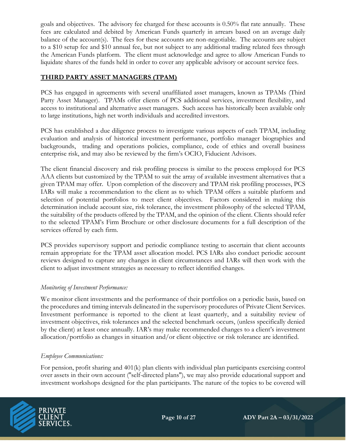goals and objectives. The advisory fee charged for these accounts is 0.50% flat rate annually. These fees are calculated and debited by American Funds quarterly in arrears based on an average daily balance of the account(s). The fees for these accounts are non-negotiable. The accounts are subject to a \$10 setup fee and \$10 annual fee, but not subject to any additional trading related fees through the American Funds platform. The client must acknowledge and agree to allow American Funds to liquidate shares of the funds held in order to cover any applicable advisory or account service fees.

#### **THIRD PARTY ASSET MANAGERS (TPAM)**

PCS has engaged in agreements with several unaffiliated asset managers, known as TPAMs (Third Party Asset Manager). TPAMs offer clients of PCS additional services, investment flexibility, and access to institutional and alternative asset managers. Such access has historically been available only to large institutions, high net worth individuals and accredited investors.

PCS has established a due diligence process to investigate various aspects of each TPAM, including evaluation and analysis of historical investment performance, portfolio manager biographies and backgrounds, trading and operations policies, compliance, code of ethics and overall business enterprise risk, and may also be reviewed by the firm's OCIO, Fiducient Advisors.

The client financial discovery and risk profiling process is similar to the process employed for PCS AAA clients but customized by the TPAM to suit the array of available investment alternatives that a given TPAM may offer. Upon completion of the discovery and TPAM risk profiling processes, PCS IARs will make a recommendation to the client as to which TPAM offers a suitable platform and selection of potential portfolios to meet client objectives. Factors considered in making this determination include account size, risk tolerance, the investment philosophy of the selected TPAM, the suitability of the products offered by the TPAM, and the opinion of the client. Clients should refer to the selected TPAM's Firm Brochure or other disclosure documents for a full description of the services offered by each firm.

PCS provides supervisory support and periodic compliance testing to ascertain that client accounts remain appropriate for the TPAM asset allocation model. PCS IARs also conduct periodic account reviews designed to capture any changes in client circumstances and IARs will then work with the client to adjust investment strategies as necessary to reflect identified changes.

#### *Monitoring of Investment Performance:*

We monitor client investments and the performance of their portfolios on a periodic basis, based on the procedures and timing intervals delineated in the supervisory procedures of Private Client Services. Investment performance is reported to the client at least quarterly, and a suitability review of investment objectives, risk tolerances and the selected benchmark occurs, (unless specifically denied by the client) at least once annually. IAR's may make recommended changes to a client's investment allocation/portfolio as changes in situation and/or client objective or risk tolerance are identified.

#### *Employee Communications:*

For pension, profit sharing and 401(k) plan clients with individual plan participants exercising control over assets in their own account (''self-directed plans''), we may also provide educational support and investment workshops designed for the plan participants. The nature of the topics to be covered will

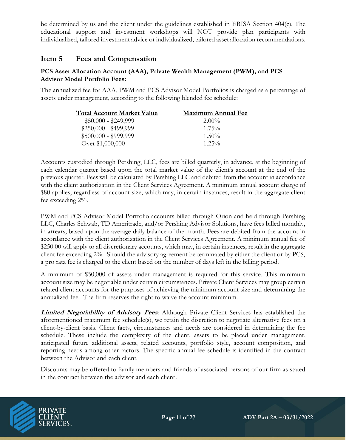be determined by us and the client under the guidelines established in ERISA Section 404(c). The educational support and investment workshops will NOT provide plan participants with individualized, tailored investment advice or individualized, tailored asset allocation recommendations.

## **Item 5 Fees and Compensation**

#### **PCS Asset Allocation Account (AAA), Private Wealth Management (PWM), and PCS Advisor Model Portfolio Fees:**

The annualized fee for AAA, PWM and PCS Advisor Model Portfolios is charged as a percentage of assets under management, according to the following blended fee schedule:

| Total Account Market Value | <b>Maximum Annual Fee</b> |
|----------------------------|---------------------------|
| $$50,000 - $249,999$       | $2.00\%$                  |
| $$250,000 - $499,999$      | $1.75\%$                  |
| $$500,000 - $999,999$      | $1.50\%$                  |
| Over \$1,000,000           | $1.25\%$                  |

Accounts custodied through Pershing, LLC, fees are billed quarterly, in advance, at the beginning of each calendar quarter based upon the total market value of the client's account at the end of the previous quarter. Fees will be calculated by Pershing LLC and debited from the account in accordance with the client authorization in the Client Services Agreement. A minimum annual account charge of \$80 applies, regardless of account size, which may, in certain instances, result in the aggregate client fee exceeding 2%.

PWM and PCS Advisor Model Portfolio accounts billed through Orion and held through Pershing LLC, Charles Schwab, TD Ameritrade, and/or Pershing Advisor Solutions, have fees billed monthly, in arrears, based upon the average daily balance of the month. Fees are debited from the account in accordance with the client authorization in the Client Services Agreement. A minimum annual fee of \$250.00 will apply to all discretionary accounts, which may, in certain instances, result in the aggregate client fee exceeding 2%. Should the advisory agreement be terminated by either the client or by PCS, a pro rata fee is charged to the client based on the number of days left in the billing period.

A minimum of \$50,000 of assets under management is required for this service. This minimum account size may be negotiable under certain circumstances. Private Client Services may group certain related client accounts for the purposes of achieving the minimum account size and determining the annualized fee. The firm reserves the right to waive the account minimum.

**Limited Negotiability of Advisory Fees**: Although Private Client Services has established the aforementioned maximum fee schedule(s), we retain the discretion to negotiate alternative fees on a client-by-client basis. Client facts, circumstances and needs are considered in determining the fee schedule. These include the complexity of the client, assets to be placed under management, anticipated future additional assets, related accounts, portfolio style, account composition, and reporting needs among other factors. The specific annual fee schedule is identified in the contract between the Advisor and each client.

Discounts may be offered to family members and friends of associated persons of our firm as stated in the contract between the advisor and each client.

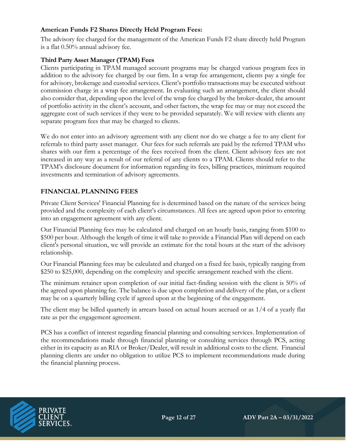#### **American Funds F2 Shares Directly Held Program Fees:**

The advisory fee charged for the management of the American Funds F2 share directly held Program is a flat 0.50% annual advisory fee.

#### **Third Party Asset Manager (TPAM) Fees**

Clients participating in TPAM managed account programs may be charged various program fees in addition to the advisory fee charged by our firm. In a wrap fee arrangement, clients pay a single fee for advisory, brokerage and custodial services. Client's portfolio transactions may be executed without commission charge in a wrap fee arrangement. In evaluating such an arrangement, the client should also consider that, depending upon the level of the wrap fee charged by the broker-dealer, the amount of portfolio activity in the client's account, and other factors, the wrap fee may or may not exceed the aggregate cost of such services if they were to be provided separately. We will review with clients any separate program fees that may be charged to clients.

We do not enter into an advisory agreement with any client nor do we charge a fee to any client for referrals to third party asset manager. Our fees for such referrals are paid by the referred TPAM who shares with our firm a percentage of the fees received from the client. Client advisory fees are not increased in any way as a result of our referral of any clients to a TPAM. Clients should refer to the TPAM's disclosure document for information regarding its fees, billing practices, minimum required investments and termination of advisory agreements.

#### **FINANCIAL PLANNING FEES**

Private Client Services' Financial Planning fee is determined based on the nature of the services being provided and the complexity of each client's circumstances. All fees are agreed upon prior to entering into an engagement agreement with any client.

Our Financial Planning fees may be calculated and charged on an hourly basis, ranging from \$100 to \$500 per hour. Although the length of time it will take to provide a Financial Plan will depend on each client's personal situation, we will provide an estimate for the total hours at the start of the advisory relationship.

Our Financial Planning fees may be calculated and charged on a fixed fee basis, typically ranging from \$250 to \$25,000, depending on the complexity and specific arrangement reached with the client.

The minimum retainer upon completion of our initial fact-finding session with the client is 50% of the agreed upon planning fee. The balance is due upon completion and delivery of the plan, or a client may be on a quarterly billing cycle if agreed upon at the beginning of the engagement.

The client may be billed quarterly in arrears based on actual hours accrued or as 1/4 of a yearly flat rate as per the engagement agreement.

PCS has a conflict of interest regarding financial planning and consulting services. Implementation of the recommendations made through financial planning or consulting services through PCS, acting either in its capacity as an RIA or Broker/Dealer, will result in additional costs to the client. Financial planning clients are under no obligation to utilize PCS to implement recommendations made during the financial planning process.

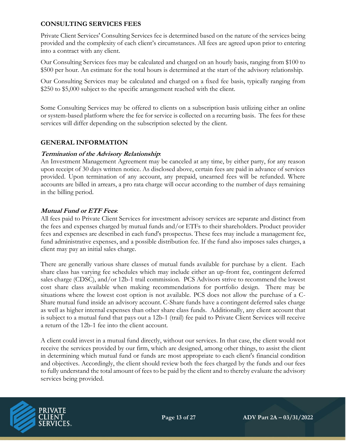#### **CONSULTING SERVICES FEES**

Private Client Services' Consulting Services fee is determined based on the nature of the services being provided and the complexity of each client's circumstances. All fees are agreed upon prior to entering into a contract with any client.

Our Consulting Services fees may be calculated and charged on an hourly basis, ranging from \$100 to \$500 per hour. An estimate for the total hours is determined at the start of the advisory relationship.

Our Consulting Services may be calculated and charged on a fixed fee basis, typically ranging from \$250 to \$5,000 subject to the specific arrangement reached with the client.

Some Consulting Services may be offered to clients on a subscription basis utilizing either an online or system-based platform where the fee for service is collected on a recurring basis. The fees for these services will differ depending on the subscription selected by the client.

#### **GENERAL INFORMATION**

#### **Termination of the Advisory Relationship**:

An Investment Management Agreement may be canceled at any time, by either party, for any reason upon receipt of 30 days written notice. As disclosed above, certain fees are paid in advance of services provided. Upon termination of any account, any prepaid, unearned fees will be refunded. Where accounts are billed in arrears, a pro rata charge will occur according to the number of days remaining in the billing period.

#### **Mutual Fund or ETF Fees**:

All fees paid to Private Client Services for investment advisory services are separate and distinct from the fees and expenses charged by mutual funds and/or ETFs to their shareholders. Product provider fees and expenses are described in each fund's prospectus. These fees may include a management fee, fund administrative expenses, and a possible distribution fee. If the fund also imposes sales charges, a client may pay an initial sales charge.

There are generally various share classes of mutual funds available for purchase by a client. Each share class has varying fee schedules which may include either an up-front fee, contingent deferred sales charge (CDSC), and/or 12b-1 trail commission. PCS Advisors strive to recommend the lowest cost share class available when making recommendations for portfolio design. There may be situations where the lowest cost option is not available. PCS does not allow the purchase of a C-Share mutual fund inside an advisory account. C-Share funds have a contingent deferred sales charge as well as higher internal expenses than other share class funds. Additionally, any client account that is subject to a mutual fund that pays out a 12b-1 (trail) fee paid to Private Client Services will receive a return of the 12b-1 fee into the client account.

A client could invest in a mutual fund directly, without our services. In that case, the client would not receive the services provided by our firm, which are designed, among other things, to assist the client in determining which mutual fund or funds are most appropriate to each client's financial condition and objectives. Accordingly, the client should review both the fees charged by the funds and our fees to fully understand the total amount of fees to be paid by the client and to thereby evaluate the advisory services being provided.

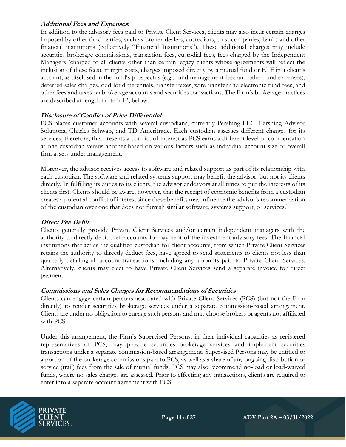#### **Additional Fees and Expenses**:

In addition to the advisory fees paid to Private Client Services, clients may also incur certain charges imposed by other third parties, such as broker-dealers, custodians, trust companies, banks and other financial institutions (collectively "Financial Institutions"). These additional charges may include securities brokerage commissions, transaction fees, custodial fees, fees charged by the Independent Managers (charged to all clients other than certain legacy clients whose agreements will reflect the inclusion of these fees), margin costs, charges imposed directly by a mutual fund or ETF in a client's account, as disclosed in the fund's prospectus (e.g., fund management fees and other fund expenses), deferred sales charges, odd-lot differentials, transfer taxes, wire transfer and electronic fund fees, and other fees and taxes on brokerage accounts and securities transactions. The Firm's brokerage practices are described at length in Item 12, below.

#### **Disclosure of Conflict of Price Differential:**

PCS places customer accounts with several custodians, currently Pershing LLC, Pershing Advisor Solutions, Charles Schwab, and TD Ameritrade. Each custodian assesses different charges for its services; therefore, this presents a conflict of interest as PCS earns a different level of compensation at one custodian versus another based on various factors such as individual account size or overall firm assets under management.

Moreover, the advisor receives access to software and related support as part of its relationship with each custodian. The software and related systems support may benefit the advisor, but not its clients directly. In fulfilling its duties to its clients, the advisor endeavors at all times to put the interests of its clients first. Clients should be aware, however, that the receipt of economic benefits from a custodian creates a potential conflict of interest since these benefits may influence the advisor's recommendation of the custodian over one that does not furnish similar software, systems support, or services.'

#### **Direct Fee Debit**

Clients generally provide Private Client Services and/or certain independent managers with the authority to directly debit their accounts for payment of the investment advisory fees. The financial institutions that act as the qualified custodian for client accounts, from which Private Client Services retains the authority to directly deduct fees, have agreed to send statements to clients not less than quarterly detailing all account transactions, including any amounts paid to Private Client Services. Alternatively, clients may elect to have Private Client Services send a separate invoice for direct payment.

#### **Commissions and Sales Charges for Recommendations of Securities**

Clients can engage certain persons associated with Private Client Services (PCS) (but not the Firm directly) to render securities brokerage services under a separate commission-based arrangement. Clients are under no obligation to engage such persons and may choose brokers or agents not affiliated with PCS

Under this arrangement, the Firm's Supervised Persons, in their individual capacities as registered representatives of PCS, may provide securities brokerage services and implement securities transactions under a separate commission-based arrangement. Supervised Persons may be entitled to a portion of the brokerage commissions paid to PCS, as well as a share of any ongoing distribution or service (trail) fees from the sale of mutual funds. PCS may also recommend no-load or load-waived funds, where no sales charges are assessed. Prior to effecting any transactions, clients are required to enter into a separate account agreement with PCS.

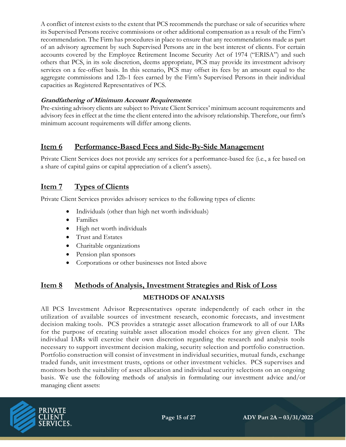A conflict of interest exists to the extent that PCS recommends the purchase or sale of securities where its Supervised Persons receive commissions or other additional compensation as a result of the Firm's recommendation. The Firm has procedures in place to ensure that any recommendations made as part of an advisory agreement by such Supervised Persons are in the best interest of clients. For certain accounts covered by the Employee Retirement Income Security Act of 1974 ("ERISA") and such others that PCS, in its sole discretion, deems appropriate, PCS may provide its investment advisory services on a fee-offset basis. In this scenario, PCS may offset its fees by an amount equal to the aggregate commissions and 12b-1 fees earned by the Firm's Supervised Persons in their individual capacities as Registered Representatives of PCS.

#### **Grandfathering of Minimum Account Requirements**:

Pre-existing advisory clients are subject to Private Client Services' minimum account requirements and advisory fees in effect at the time the client entered into the advisory relationship. Therefore, our firm's minimum account requirements will differ among clients.

## **Item 6 Performance-Based Fees and Side-By-Side Management**

Private Client Services does not provide any services for a performance-based fee (i.e., a fee based on a share of capital gains or capital appreciation of a client's assets).

## **Item 7 Types of Clients**

Private Client Services provides advisory services to the following types of clients:

- Individuals (other than high net worth individuals)
- Families
- High net worth individuals
- Trust and Estates
- Charitable organizations
- Pension plan sponsors
- Corporations or other businesses not listed above

# **Item 8 Methods of Analysis, Investment Strategies and Risk of Loss METHODS OF ANALYSIS**

All PCS Investment Advisor Representatives operate independently of each other in the utilization of available sources of investment research, economic forecasts, and investment decision making tools. PCS provides a strategic asset allocation framework to all of our IARs for the purpose of creating suitable asset allocation model choices for any given client. The individual IARs will exercise their own discretion regarding the research and analysis tools necessary to support investment decision making, security selection and portfolio construction. Portfolio construction will consist of investment in individual securities, mutual funds, exchange traded funds, unit investment trusts, options or other investment vehicles. PCS supervises and monitors both the suitability of asset allocation and individual security selections on an ongoing basis. We use the following methods of analysis in formulating our investment advice and/or managing client assets:

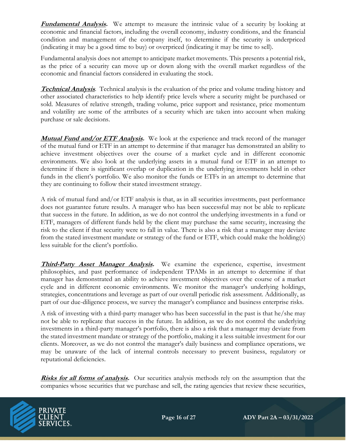**Fundamental Analysis.** We attempt to measure the intrinsic value of a security by looking at economic and financial factors, including the overall economy, industry conditions, and the financial condition and management of the company itself, to determine if the security is underpriced (indicating it may be a good time to buy) or overpriced (indicating it may be time to sell).

Fundamental analysis does not attempt to anticipate market movements. This presents a potential risk, as the price of a security can move up or down along with the overall market regardless of the economic and financial factors considered in evaluating the stock.

**Technical Analysis**. Technical analysis is the evaluation of the price and volume trading history and other associated characteristics to help identify price levels where a security might be purchased or sold. Measures of relative strength, trading volume, price support and resistance, price momentum and volatility are some of the attributes of a security which are taken into account when making purchase or sale decisions.

**Mutual Fund and/or ETF Analysis.** We look at the experience and track record of the manager of the mutual fund or ETF in an attempt to determine if that manager has demonstrated an ability to achieve investment objectives over the course of a market cycle and in different economic environments. We also look at the underlying assets in a mutual fund or ETF in an attempt to determine if there is significant overlap or duplication in the underlying investments held in other funds in the client's portfolio. We also monitor the funds or ETFs in an attempt to determine that they are continuing to follow their stated investment strategy.

A risk of mutual fund and/or ETF analysis is that, as in all securities investments, past performance does not guarantee future results. A manager who has been successful may not be able to replicate that success in the future. In addition, as we do not control the underlying investments in a fund or ETF, managers of different funds held by the client may purchase the same security, increasing the risk to the client if that security were to fall in value. There is also a risk that a manager may deviate from the stated investment mandate or strategy of the fund or ETF, which could make the holding(s) less suitable for the client's portfolio.

**Third-Party Asset Manager Analysis.** We examine the experience, expertise, investment philosophies, and past performance of independent TPAMs in an attempt to determine if that manager has demonstrated an ability to achieve investment objectives over the course of a market cycle and in different economic environments. We monitor the manager's underlying holdings, strategies, concentrations and leverage as part of our overall periodic risk assessment. Additionally, as part of our due-diligence process, we survey the manager's compliance and business enterprise risks.

A risk of investing with a third-party manager who has been successful in the past is that he/she may not be able to replicate that success in the future. In addition, as we do not control the underlying investments in a third-party manager's portfolio, there is also a risk that a manager may deviate from the stated investment mandate or strategy of the portfolio, making it a less suitable investment for our clients. Moreover, as we do not control the manager's daily business and compliance operations, we may be unaware of the lack of internal controls necessary to prevent business, regulatory or reputational deficiencies.

**Risks for all forms of analysis.** Our securities analysis methods rely on the assumption that the companies whose securities that we purchase and sell, the rating agencies that review these securities,

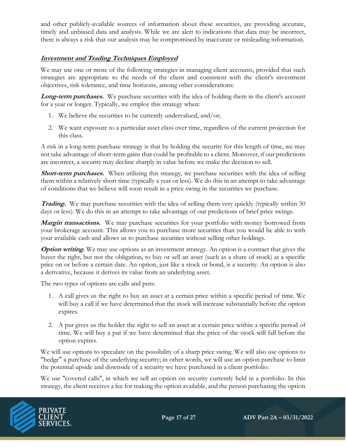and other publicly-available sources of information about these securities, are providing accurate, timely and unbiased data and analysis. While we are alert to indications that data may be incorrect, there is always a risk that our analysis may be compromised by inaccurate or misleading information.

#### **Investment and Trading Techniques Employed**

We may use one or more of the following strategies in managing client accounts, provided that such strategies are appropriate to the needs of the client and consistent with the client's investment objectives, risk tolerance, and time horizons, among other considerations:

Long-term purchases. We purchase securities with the idea of holding them in the client's account for a year or longer. Typically, we employ this strategy when:

- 1. We believe the securities to be currently undervalued, and/or;
- 2. We want exposure to a particular asset class over time, regardless of the current projection for this class.

A risk in a long-term purchase strategy is that by holding the security for this length of time, we may not take advantage of short-term gains that could be profitable to a client. Moreover, if our predictions are incorrect, a security may decline sharply in value before we make the decision to sell.

**Short-term purchases.** When utilizing this strategy, we purchase securities with the idea of selling them within a relatively short time (typically a year or less). We do this in an attempt to take advantage of conditions that we believe will soon result in a price swing in the securities we purchase.

**Trading.** We may purchase securities with the idea of selling them very quickly (typically within 30) days or less). We do this in an attempt to take advantage of our predictions of brief price swings.

**Margin transactions.** We may purchase securities for your portfolio with money borrowed from your brokerage account. This allows you to purchase more securities than you would be able to with your available cash and allows us to purchase securities without selling other holdings.

**Option writing.** We may use options as an investment strategy. An option is a contract that gives the buyer the right, but not the obligation, to buy or sell an asset (such as a share of stock) at a specific price on or before a certain date. An option, just like a stock or bond, is a security. An option is also a derivative, because it derives its value from an underlying asset.

The two types of options are calls and puts:

- 1. A call gives us the right to buy an asset at a certain price within a specific period of time. We will buy a call if we have determined that the stock will increase substantially before the option expires.
- 2. A put gives us the holder the right to sell an asset at a certain price within a specific period of time. We will buy a put if we have determined that the price of the stock will fall before the option expires.

We will use options to speculate on the possibility of a sharp price swing. We will also use options to "hedge" a purchase of the underlying security; in other words, we will use an option purchase to limit the potential upside and downside of a security we have purchased in a client portfolio.

We use "covered calls", in which we sell an option on security currently held in a portfolio. In this strategy, the client receives a fee for making the option available, and the person purchasing the option

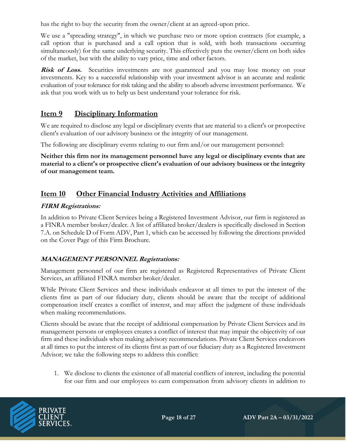has the right to buy the security from the owner/client at an agreed-upon price.

We use a "spreading strategy", in which we purchase two or more option contracts (for example, a call option that is purchased and a call option that is sold, with both transactions occurring simultaneously) for the same underlying security. This effectively puts the owner/client on both sides of the market, but with the ability to vary price, time and other factors.

**Risk of Loss.** Securities investments are not guaranteed and you may lose money on your investments. Key to a successful relationship with your investment advisor is an accurate and realistic evaluation of your tolerance for risk taking and the ability to absorb adverse investment performance. We ask that you work with us to help us best understand your tolerance for risk.

## **Item 9 Disciplinary Information**

We are required to disclose any legal or disciplinary events that are material to a client's or prospective client's evaluation of our advisory business or the integrity of our management.

The following are disciplinary events relating to our firm and/or our management personnel:

**Neither this firm nor its management personnel have any legal or disciplinary events that are material to a client's or prospective client's evaluation of our advisory business or the integrity of our management team.**

## **Item 10 Other Financial Industry Activities and Affiliations**

#### **FIRM Registrations:**

In addition to Private Client Services being a Registered Investment Advisor, our firm is registered as a FINRA member broker/dealer. A list of affiliated broker/dealers is specifically disclosed in Section 7.A. on Schedule D of Form ADV, Part 1, which can be accessed by following the directions provided on the Cover Page of this Firm Brochure.

#### **MANAGEMENT PERSONNEL Registrations:**

Management personnel of our firm are registered as Registered Representatives of Private Client Services, an affiliated FINRA member broker/dealer.

While Private Client Services and these individuals endeavor at all times to put the interest of the clients first as part of our fiduciary duty, clients should be aware that the receipt of additional compensation itself creates a conflict of interest, and may affect the judgment of these individuals when making recommendations.

Clients should be aware that the receipt of additional compensation by Private Client Services and its management persons or employees creates a conflict of interest that may impair the objectivity of our firm and these individuals when making advisory recommendations. Private Client Services endeavors at all times to put the interest of its clients first as part of our fiduciary duty as a Registered Investment Advisor; we take the following steps to address this conflict:

1. We disclose to clients the existence of all material conflicts of interest, including the potential for our firm and our employees to earn compensation from advisory clients in addition to

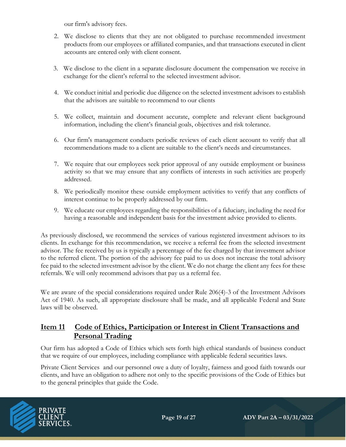our firm's advisory fees.

- 2. We disclose to clients that they are not obligated to purchase recommended investment products from our employees or affiliated companies, and that transactions executed in client accounts are entered only with client consent.
- 3. We disclose to the client in a separate disclosure document the compensation we receive in exchange for the client's referral to the selected investment advisor.
- 4. We conduct initial and periodic due diligence on the selected investment advisors to establish that the advisors are suitable to recommend to our clients
- 5. We collect, maintain and document accurate, complete and relevant client background information, including the client's financial goals, objectives and risk tolerance.
- 6. Our firm's management conducts periodic reviews of each client account to verify that all recommendations made to a client are suitable to the client's needs and circumstances.
- 7. We require that our employees seek prior approval of any outside employment or business activity so that we may ensure that any conflicts of interests in such activities are properly addressed.
- 8. We periodically monitor these outside employment activities to verify that any conflicts of interest continue to be properly addressed by our firm.
- 9. We educate our employees regarding the responsibilities of a fiduciary, including the need for having a reasonable and independent basis for the investment advice provided to clients.

As previously disclosed, we recommend the services of various registered investment advisors to its clients. In exchange for this recommendation, we receive a referral fee from the selected investment advisor. The fee received by us is typically a percentage of the fee charged by that investment advisor to the referred client. The portion of the advisory fee paid to us does not increase the total advisory fee paid to the selected investment advisor by the client. We do not charge the client any fees for these referrals. We will only recommend advisors that pay us a referral fee.

We are aware of the special considerations required under Rule 206(4)-3 of the Investment Advisors Act of 1940. As such, all appropriate disclosure shall be made, and all applicable Federal and State laws will be observed.

## **Item 11 Code of Ethics, Participation or Interest in Client Transactions and Personal Trading**

Our firm has adopted a Code of Ethics which sets forth high ethical standards of business conduct that we require of our employees, including compliance with applicable federal securities laws.

Private Client Services and our personnel owe a duty of loyalty, fairness and good faith towards our clients, and have an obligation to adhere not only to the specific provisions of the Code of Ethics but to the general principles that guide the Code.

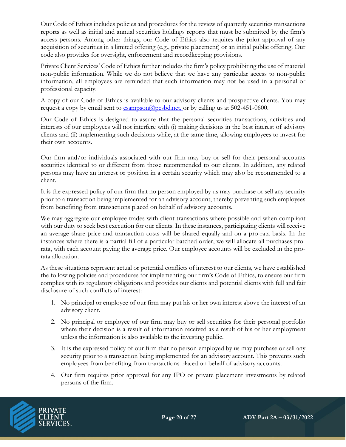Our Code of Ethics includes policies and procedures for the review of quarterly securities transactions reports as well as initial and annual securities holdings reports that must be submitted by the firm's access persons. Among other things, our Code of Ethics also requires the prior approval of any acquisition of securities in a limited offering (e.g., private placement) or an initial public offering. Our code also provides for oversight, enforcement and recordkeeping provisions.

Private Client Services' Code of Ethics further includes the firm's policy prohibiting the use of material non-public information. While we do not believe that we have any particular access to non-public information, all employees are reminded that such information may not be used in a personal or professional capacity.

A copy of our Code of Ethics is available to our advisory clients and prospective clients. You may request a copy by email sent to  $\frac{2 \text{ smm}}{2 \text{ smm}}$  essentiated.net, or by calling us at 502-451-0600.

Our Code of Ethics is designed to assure that the personal securities transactions, activities and interests of our employees will not interfere with (i) making decisions in the best interest of advisory clients and (ii) implementing such decisions while, at the same time, allowing employees to invest for their own accounts.

Our firm and/or individuals associated with our firm may buy or sell for their personal accounts securities identical to or different from those recommended to our clients. In addition, any related persons may have an interest or position in a certain security which may also be recommended to a client.

It is the expressed policy of our firm that no person employed by us may purchase or sell any security prior to a transaction being implemented for an advisory account, thereby preventing such employees from benefiting from transactions placed on behalf of advisory accounts.

We may aggregate our employee trades with client transactions where possible and when compliant with our duty to seek best execution for our clients. In these instances, participating clients will receive an average share price and transaction costs will be shared equally and on a pro-rata basis. In the instances where there is a partial fill of a particular batched order, we will allocate all purchases prorata, with each account paying the average price. Our employee accounts will be excluded in the prorata allocation.

As these situations represent actual or potential conflicts of interest to our clients, we have established the following policies and procedures for implementing our firm's Code of Ethics, to ensure our firm complies with its regulatory obligations and provides our clients and potential clients with full and fair disclosure of such conflicts of interest:

- 1. No principal or employee of our firm may put his or her own interest above the interest of an advisory client.
- 2. No principal or employee of our firm may buy or sell securities for their personal portfolio where their decision is a result of information received as a result of his or her employment unless the information is also available to the investing public.
- 3. It is the expressed policy of our firm that no person employed by us may purchase or sell any security prior to a transaction being implemented for an advisory account. This prevents such employees from benefiting from transactions placed on behalf of advisory accounts.
- 4. Our firm requires prior approval for any IPO or private placement investments by related persons of the firm.

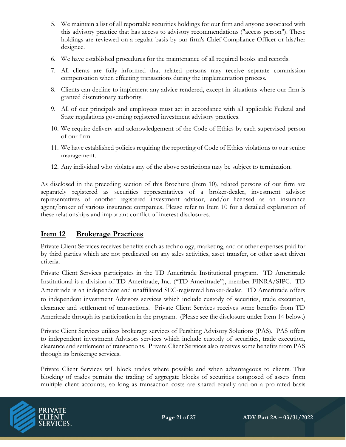- 5. We maintain a list of all reportable securities holdings for our firm and anyone associated with this advisory practice that has access to advisory recommendations ("access person"). These holdings are reviewed on a regular basis by our firm's Chief Compliance Officer or his/her designee.
- 6. We have established procedures for the maintenance of all required books and records.
- 7. All clients are fully informed that related persons may receive separate commission compensation when effecting transactions during the implementation process.
- 8. Clients can decline to implement any advice rendered, except in situations where our firm is granted discretionary authority.
- 9. All of our principals and employees must act in accordance with all applicable Federal and State regulations governing registered investment advisory practices.
- 10. We require delivery and acknowledgement of the Code of Ethics by each supervised person of our firm.
- 11. We have established policies requiring the reporting of Code of Ethics violations to our senior management.
- 12. Any individual who violates any of the above restrictions may be subject to termination.

As disclosed in the preceding section of this Brochure (Item 10), related persons of our firm are separately registered as securities representatives of a broker-dealer, investment advisor representatives of another registered investment advisor, and/or licensed as an insurance agent/broker of various insurance companies. Please refer to Item 10 for a detailed explanation of these relationships and important conflict of interest disclosures.

## **Item 12 Brokerage Practices**

Private Client Services receives benefits such as technology, marketing, and or other expenses paid for by third parties which are not predicated on any sales activities, asset transfer, or other asset driven criteria.

Private Client Services participates in the TD Ameritrade Institutional program. TD Ameritrade Institutional is a division of TD Ameritrade, Inc. ("TD Ameritrade"), member FINRA/SIPC. TD Ameritrade is an independent and unaffiliated SEC-registered broker-dealer. TD Ameritrade offers to independent investment Advisors services which include custody of securities, trade execution, clearance and settlement of transactions. Private Client Services receives some benefits from TD Ameritrade through its participation in the program. (Please see the disclosure under Item 14 below.)

Private Client Services utilizes brokerage services of Pershing Advisory Solutions (PAS). PAS offers to independent investment Advisors services which include custody of securities, trade execution, clearance and settlement of transactions. Private Client Services also receives some benefits from PAS through its brokerage services.

Private Client Services will block trades where possible and when advantageous to clients. This blocking of trades permits the trading of aggregate blocks of securities composed of assets from multiple client accounts, so long as transaction costs are shared equally and on a pro-rated basis

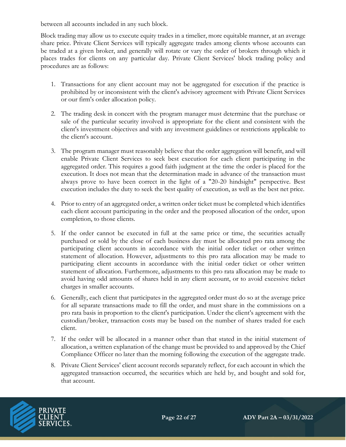between all accounts included in any such block.

Block trading may allow us to execute equity trades in a timelier, more equitable manner, at an average share price. Private Client Services will typically aggregate trades among clients whose accounts can be traded at a given broker, and generally will rotate or vary the order of brokers through which it places trades for clients on any particular day. Private Client Services' block trading policy and procedures are as follows:

- 1. Transactions for any client account may not be aggregated for execution if the practice is prohibited by or inconsistent with the client's advisory agreement with Private Client Services or our firm's order allocation policy.
- 2. The trading desk in concert with the program manager must determine that the purchase or sale of the particular security involved is appropriate for the client and consistent with the client's investment objectives and with any investment guidelines or restrictions applicable to the client's account.
- 3. The program manager must reasonably believe that the order aggregation will benefit, and will enable Private Client Services to seek best execution for each client participating in the aggregated order. This requires a good faith judgment at the time the order is placed for the execution. It does not mean that the determination made in advance of the transaction must always prove to have been correct in the light of a "20-20 hindsight" perspective. Best execution includes the duty to seek the best quality of execution, as well as the best net price.
- 4. Prior to entry of an aggregated order, a written order ticket must be completed which identifies each client account participating in the order and the proposed allocation of the order, upon completion, to those clients.
- 5. If the order cannot be executed in full at the same price or time, the securities actually purchased or sold by the close of each business day must be allocated pro rata among the participating client accounts in accordance with the initial order ticket or other written statement of allocation. However, adjustments to this pro rata allocation may be made to participating client accounts in accordance with the initial order ticket or other written statement of allocation. Furthermore, adjustments to this pro rata allocation may be made to avoid having odd amounts of shares held in any client account, or to avoid excessive ticket charges in smaller accounts.
- 6. Generally, each client that participates in the aggregated order must do so at the average price for all separate transactions made to fill the order, and must share in the commissions on a pro rata basis in proportion to the client's participation. Under the client's agreement with the custodian/broker, transaction costs may be based on the number of shares traded for each client.
- 7. If the order will be allocated in a manner other than that stated in the initial statement of allocation, a written explanation of the change must be provided to and approved by the Chief Compliance Officer no later than the morning following the execution of the aggregate trade.
- 8. Private Client Services' client account records separately reflect, for each account in which the aggregated transaction occurred, the securities which are held by, and bought and sold for, that account.

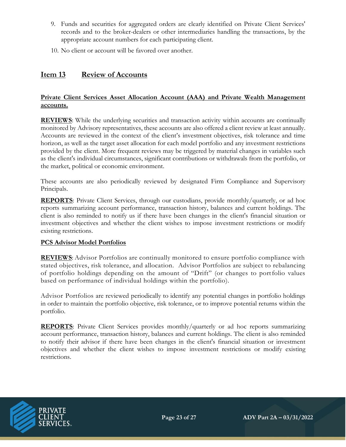- 9. Funds and securities for aggregated orders are clearly identified on Private Client Services' records and to the broker-dealers or other intermediaries handling the transactions, by the appropriate account numbers for each participating client.
- 10. No client or account will be favored over another.

## **Item 13 Review of Accounts**

#### **Private Client Services Asset Allocation Account (AAA) and Private Wealth Management accounts.**

**REVIEWS**: While the underlying securities and transaction activity within accounts are continually monitored by Advisory representatives, these accounts are also offered a client review at least annually. Accounts are reviewed in the context of the client's investment objectives, risk tolerance and time horizon, as well as the target asset allocation for each model portfolio and any investment restrictions provided by the client. More frequent reviews may be triggered by material changes in variables such as the client's individual circumstances, significant contributions or withdrawals from the portfolio, or the market, political or economic environment.

These accounts are also periodically reviewed by designated Firm Compliance and Supervisory Principals.

**REPORTS**: Private Client Services, through our custodians, provide monthly/quarterly, or ad hoc reports summarizing account performance, transaction history, balances and current holdings. The client is also reminded to notify us if there have been changes in the client's financial situation or investment objectives and whether the client wishes to impose investment restrictions or modify existing restrictions.

#### **PCS Advisor Model Portfolios**

**REVIEWS**: Advisor Portfolios are continually monitored to ensure portfolio compliance with stated objectives, risk tolerance, and allocation. Advisor Portfolios are subject to rebalancing of portfolio holdings depending on the amount of "Drift" (or changes to portfolio values based on performance of individual holdings within the portfolio).

Advisor Portfolios are reviewed periodically to identify any potential changes in portfolio holdings in order to maintain the portfolio objective, risk tolerance, or to improve potential returns within the portfolio.

**REPORTS**: Private Client Services provides monthly/quarterly or ad hoc reports summarizing account performance, transaction history, balances and current holdings. The client is also reminded to notify their advisor if there have been changes in the client's financial situation or investment objectives and whether the client wishes to impose investment restrictions or modify existing restrictions.

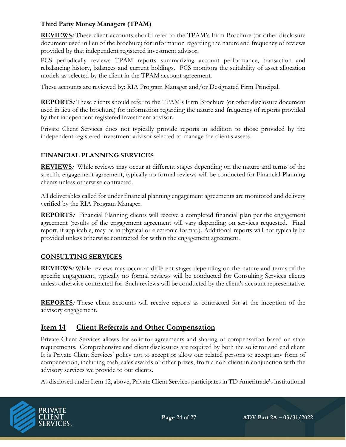#### **Third Party Money Managers (TPAM)**

**REVIEWS:** These client accounts should refer to the TPAM's Firm Brochure (or other disclosure document used in lieu of the brochure) for information regarding the nature and frequency of reviews provided by that independent registered investment advisor.

PCS periodically reviews TPAM reports summarizing account performance, transaction and rebalancing history, balances and current holdings. PCS monitors the suitability of asset allocation models as selected by the client in the TPAM account agreement.

These accounts are reviewed by: RIA Program Manager and/or Designated Firm Principal.

**REPORTS:** These clients should refer to the TPAM's Firm Brochure (or other disclosure document used in lieu of the brochure) for information regarding the nature and frequency of reports provided by that independent registered investment advisor.

Private Client Services does not typically provide reports in addition to those provided by the independent registered investment advisor selected to manage the client's assets.

### **FINANCIAL PLANNING SERVICES**

**REVIEWS:** While reviews may occur at different stages depending on the nature and terms of the specific engagement agreement, typically no formal reviews will be conducted for Financial Planning clients unless otherwise contracted.

All deliverables called for under financial planning engagement agreements are monitored and delivery verified by the RIA Program Manager.

**REPORTS:** Financial Planning clients will receive a completed financial plan per the engagement agreement (results of the engagement agreement will vary depending on services requested. Final report, if applicable, may be in physical or electronic format.). Additional reports will not typically be provided unless otherwise contracted for within the engagement agreement.

#### **CONSULTING SERVICES**

**REVIEWS:** While reviews may occur at different stages depending on the nature and terms of the specific engagement, typically no formal reviews will be conducted for Consulting Services clients unless otherwise contracted for. Such reviews will be conducted by the client's account representative.

**REPORTS:** These client accounts will receive reports as contracted for at the inception of the advisory engagement.

### **Item 14 Client Referrals and Other Compensation**

Private Client Services allows for solicitor agreements and sharing of compensation based on state requirements. Comprehensive end client disclosures are required by both the solicitor and end client It is Private Client Services' policy not to accept or allow our related persons to accept any form of compensation, including cash, sales awards or other prizes, from a non-client in conjunction with the advisory services we provide to our clients.

As disclosed under Item 12, above, Private Client Services participates in TD Ameritrade's institutional

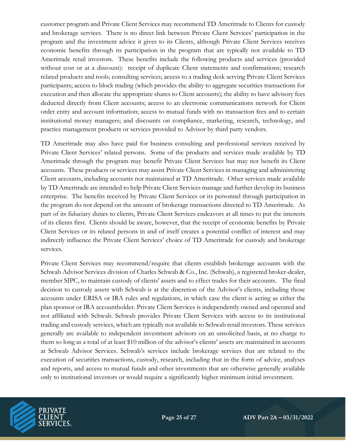customer program and Private Client Services may recommend TD Ameritrade to Clients for custody and brokerage services. There is no direct link between Private Client Services' participation in the program and the investment advice it gives to its Clients, although Private Client Services receives economic benefits through its participation in the program that are typically not available to TD Ameritrade retail investors. These benefits include the following products and services (provided without cost or at a discount): receipt of duplicate Client statements and confirmations; research related products and tools; consulting services; access to a trading desk serving Private Client Services participants; access to block trading (which provides the ability to aggregate securities transactions for execution and then allocate the appropriate shares to Client accounts); the ability to have advisory fees deducted directly from Client accounts; access to an electronic communications network for Client order entry and account information; access to mutual funds with no transaction fees and to certain institutional money managers; and discounts on compliance, marketing, research, technology, and practice management products or services provided to Advisor by third party vendors.

TD Ameritrade may also have paid for business consulting and professional services received by Private Client Services' related persons. Some of the products and services made available by TD Ameritrade through the program may benefit Private Client Services but may not benefit its Client accounts. These products or services may assist Private Client Services in managing and administering Client accounts, including accounts not maintained at TD Ameritrade. Other services made available by TD Ameritrade are intended to help Private Client Services manage and further develop its business enterprise. The benefits received by Private Client Services or its personnel through participation in the program do not depend on the amount of brokerage transactions directed to TD Ameritrade. As part of its fiduciary duties to clients, Private Client Services endeavors at all times to put the interests of its clients first. Clients should be aware, however, that the receipt of economic benefits by Private Client Services or its related persons in and of itself creates a potential conflict of interest and may indirectly influence the Private Client Services' choice of TD Ameritrade for custody and brokerage services.

Private Client Services may recommend/require that clients establish brokerage accounts with the Schwab Advisor Services division of Charles Schwab & Co., Inc. (Schwab), a registered broker-dealer, member SIPC, to maintain custody of clients' assets and to effect trades for their accounts. The final decision to custody assets with Schwab is at the discretion of the Advisor's clients, including those accounts under ERISA or IRA rules and regulations, in which case the client is acting as either the plan sponsor or IRA accountholder. Private Client Services is independently owned and operated and not affiliated with Schwab. Schwab provides Private Client Services with access to its institutional trading and custody services, which are typically not available to Schwab retail investors. These services generally are available to independent investment advisors on an unsolicited basis, at no charge to them so long as a total of at least \$10 million of the advisor's clients' assets are maintained in accounts at Schwab Advisor Services. Schwab's services include brokerage services that are related to the execution of securities transactions, custody, research, including that in the form of advice, analyses and reports, and access to mutual funds and other investments that are otherwise generally available only to institutional investors or would require a significantly higher minimum initial investment.

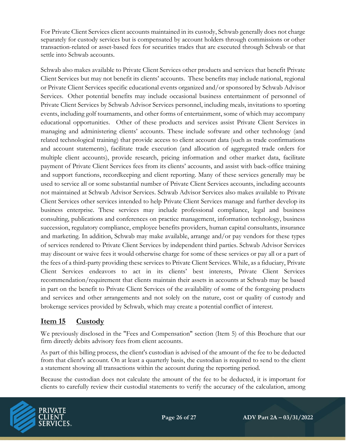For Private Client Services client accounts maintained in its custody, Schwab generally does not charge separately for custody services but is compensated by account holders through commissions or other transaction-related or asset-based fees for securities trades that are executed through Schwab or that settle into Schwab accounts.

Schwab also makes available to Private Client Services other products and services that benefit Private Client Services but may not benefit its clients' accounts. These benefits may include national, regional or Private Client Services specific educational events organized and/or sponsored by Schwab Advisor Services. Other potential benefits may include occasional business entertainment of personnel of Private Client Services by Schwab Advisor Services personnel, including meals, invitations to sporting events, including golf tournaments, and other forms of entertainment, some of which may accompany educational opportunities. Other of these products and services assist Private Client Services in managing and administering clients' accounts. These include software and other technology (and related technological training) that provide access to client account data (such as trade confirmations and account statements), facilitate trade execution (and allocation of aggregated trade orders for multiple client accounts), provide research, pricing information and other market data, facilitate payment of Private Client Services fees from its clients' accounts, and assist with back-office training and support functions, recordkeeping and client reporting. Many of these services generally may be used to service all or some substantial number of Private Client Services accounts, including accounts not maintained at Schwab Advisor Services. Schwab Advisor Services also makes available to Private Client Services other services intended to help Private Client Services manage and further develop its business enterprise. These services may include professional compliance, legal and business consulting, publications and conferences on practice management, information technology, business succession, regulatory compliance, employee benefits providers, human capital consultants, insurance and marketing. In addition, Schwab may make available, arrange and/or pay vendors for these types of services rendered to Private Client Services by independent third parties. Schwab Advisor Services may discount or waive fees it would otherwise charge for some of these services or pay all or a part of the fees of a third-party providing these services to Private Client Services. While, as a fiduciary, Private Client Services endeavors to act in its clients' best interests, Private Client Services recommendation/requirement that clients maintain their assets in accounts at Schwab may be based in part on the benefit to Private Client Services of the availability of some of the foregoing products and services and other arrangements and not solely on the nature, cost or quality of custody and brokerage services provided by Schwab, which may create a potential conflict of interest.

## **Item 15 Custody**

We previously disclosed in the "Fees and Compensation" section (Item 5) of this Brochure that our firm directly debits advisory fees from client accounts.

As part of this billing process, the client's custodian is advised of the amount of the fee to be deducted from that client's account. On at least a quarterly basis, the custodian is required to send to the client a statement showing all transactions within the account during the reporting period.

Because the custodian does not calculate the amount of the fee to be deducted, it is important for clients to carefully review their custodial statements to verify the accuracy of the calculation, among